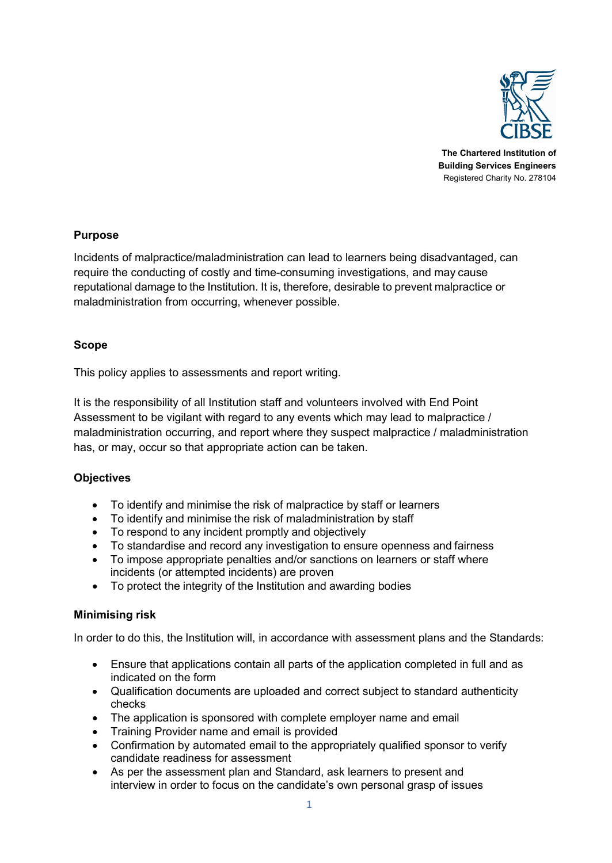

**The Chartered Institution of Building Services Engineers** Registered Charity No. 278104

## **Purpose**

Incidents of malpractice/maladministration can lead to learners being disadvantaged, can require the conducting of costly and time-consuming investigations, and may cause reputational damage to the Institution. It is, therefore, desirable to prevent malpractice or maladministration from occurring, whenever possible.

## **Scope**

This policy applies to assessments and report writing.

It is the responsibility of all Institution staff and volunteers involved with End Point Assessment to be vigilant with regard to any events which may lead to malpractice / maladministration occurring, and report where they suspect malpractice / maladministration has, or may, occur so that appropriate action can be taken.

# **Objectives**

- To identify and minimise the risk of malpractice by staff or learners
- To identify and minimise the risk of maladministration by staff
- To respond to any incident promptly and objectively
- To standardise and record any investigation to ensure openness and fairness
- To impose appropriate penalties and/or sanctions on learners or staff where incidents (or attempted incidents) are proven
- To protect the integrity of the Institution and awarding bodies

# **Minimising risk**

In order to do this, the Institution will, in accordance with assessment plans and the Standards:

- Ensure that applications contain all parts of the application completed in full and as indicated on the form
- Qualification documents are uploaded and correct subject to standard authenticity checks
- The application is sponsored with complete employer name and email
- Training Provider name and email is provided
- Confirmation by automated email to the appropriately qualified sponsor to verify candidate readiness for assessment
- As per the assessment plan and Standard, ask learners to present and interview in order to focus on the candidate's own personal grasp of issues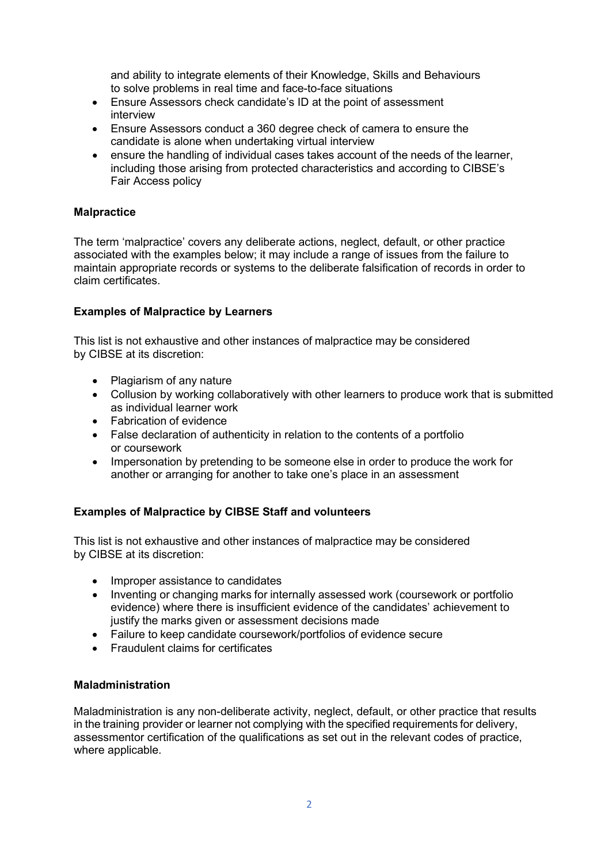and ability to integrate elements of their Knowledge, Skills and Behaviours to solve problems in real time and face-to-face situations

- Ensure Assessors check candidate's ID at the point of assessment interview
- Ensure Assessors conduct a 360 degree check of camera to ensure the candidate is alone when undertaking virtual interview
- ensure the handling of individual cases takes account of the needs of the learner, including those arising from protected characteristics and according to CIBSE's Fair Access policy

### **Malpractice**

The term 'malpractice' covers any deliberate actions, neglect, default, or other practice associated with the examples below; it may include a range of issues from the failure to maintain appropriate records or systems to the deliberate falsification of records in order to claim certificates.

#### **Examples of Malpractice by Learners**

This list is not exhaustive and other instances of malpractice may be considered by CIBSE at its discretion:

- Plagiarism of any nature
- Collusion by working collaboratively with other learners to produce work that is submitted as individual learner work
- Fabrication of evidence
- False declaration of authenticity in relation to the contents of a portfolio or coursework
- Impersonation by pretending to be someone else in order to produce the work for another or arranging for another to take one's place in an assessment

#### **Examples of Malpractice by CIBSE Staff and volunteers**

This list is not exhaustive and other instances of malpractice may be considered by CIBSE at its discretion:

- Improper assistance to candidates
- Inventing or changing marks for internally assessed work (coursework or portfolio evidence) where there is insufficient evidence of the candidates' achievement to justify the marks given or assessment decisions made
- Failure to keep candidate coursework/portfolios of evidence secure
- Fraudulent claims for certificates

#### **Maladministration**

Maladministration is any non-deliberate activity, neglect, default, or other practice that results in the training provider or learner not complying with the specified requirements for delivery, assessmentor certification of the qualifications as set out in the relevant codes of practice, where applicable.